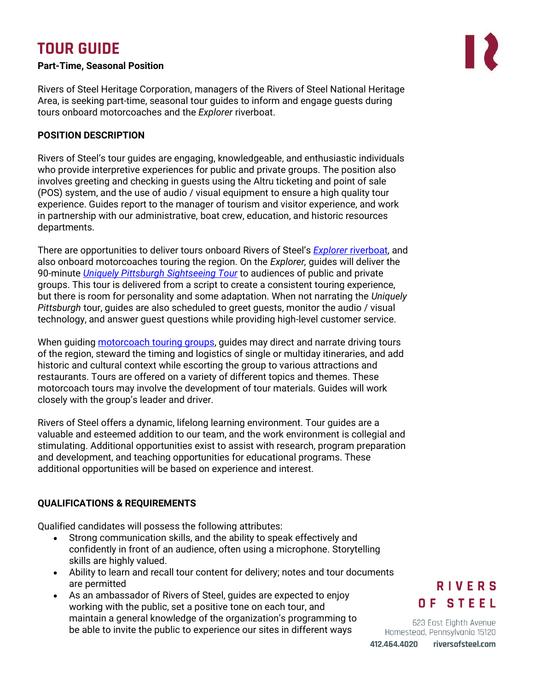# **TOUR GUIDE**

### **Part-Time, Seasonal Position**

Rivers of Steel Heritage Corporation, managers of the Rivers of Steel National Heritage Area, is seeking part-time, seasonal tour guides to inform and engage guests during tours onboard motorcoaches and the *Explorer* riverboat.

### **POSITION DESCRIPTION**

Rivers of Steel's tour guides are engaging, knowledgeable, and enthusiastic individuals who provide interpretive experiences for public and private groups. The position also involves greeting and checking in guests using the Altru ticketing and point of sale (POS) system, and the use of audio / visual equipment to ensure a high quality tour experience. Guides report to the manager of tourism and visitor experience, and work in partnership with our administrative, boat crew, education, and historic resources departments.

There are opportunities to deliver tours onboard Rivers of Steel's *Explorer* [riverboat,](https://riversofsteel.com/attractions/explorer-riverboat/) and also onboard motorcoaches touring the region. On the *Explorer,* guides will deliver the 90-minute *[Uniquely Pittsburgh Sightseeing Tour](https://riversofsteel.com/experiences/tours/pittsburgh-sightseeing-tour/)* to audiences of public and private groups. This tour is delivered from a script to create a consistent touring experience, but there is room for personality and some adaptation. When not narrating the *Uniquely Pittsburgh* tour, guides are also scheduled to greet guests, monitor the audio / visual technology, and answer guest questions while providing high-level customer service.

When quiding [motorcoach touring groups,](https://riversofsteel.com/heritage-tours/) quides may direct and narrate driving tours of the region, steward the timing and logistics of single or multiday itineraries, and add historic and cultural context while escorting the group to various attractions and restaurants. Tours are offered on a variety of different topics and themes. These motorcoach tours may involve the development of tour materials. Guides will work closely with the group's leader and driver.

Rivers of Steel offers a dynamic, lifelong learning environment. Tour guides are a valuable and esteemed addition to our team, and the work environment is collegial and stimulating. Additional opportunities exist to assist with research, program preparation and development, and teaching opportunities for educational programs. These additional opportunities will be based on experience and interest.

### **QUALIFICATIONS & REQUIREMENTS**

Qualified candidates will possess the following attributes:

- Strong communication skills, and the ability to speak effectively and confidently in front of an audience, often using a microphone. Storytelling skills are highly valued.
- Ability to learn and recall tour content for delivery; notes and tour documents are permitted
- As an ambassador of Rivers of Steel, guides are expected to enjoy working with the public, set a positive tone on each tour, and maintain a general knowledge of the organization's programming to be able to invite the public to experience our sites in different ways

## **RIVERS** OF STEEL

623 East Eighth Avenue Homestead, Pennsylvania 15120 riversofsteel.com

412.464.4020

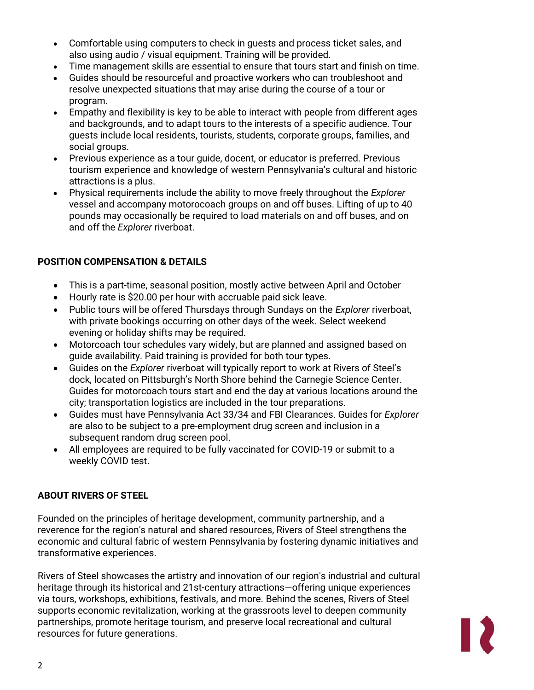- Comfortable using computers to check in guests and process ticket sales, and also using audio / visual equipment. Training will be provided.
- Time management skills are essential to ensure that tours start and finish on time.
- Guides should be resourceful and proactive workers who can troubleshoot and resolve unexpected situations that may arise during the course of a tour or program.
- Empathy and flexibility is key to be able to interact with people from different ages and backgrounds, and to adapt tours to the interests of a specific audience. Tour guests include local residents, tourists, students, corporate groups, families, and social groups.
- Previous experience as a tour guide, docent, or educator is preferred. Previous tourism experience and knowledge of western Pennsylvania's cultural and historic attractions is a plus.
- Physical requirements include the ability to move freely throughout the *Explorer* vessel and accompany motorocoach groups on and off buses. Lifting of up to 40 pounds may occasionally be required to load materials on and off buses, and on and off the *Explorer* riverboat.

### **POSITION COMPENSATION & DETAILS**

- This is a part-time, seasonal position, mostly active between April and October
- Hourly rate is \$20.00 per hour with accruable paid sick leave.
- Public tours will be offered Thursdays through Sundays on the *Explorer* riverboat, with private bookings occurring on other days of the week. Select weekend evening or holiday shifts may be required.
- Motorcoach tour schedules vary widely, but are planned and assigned based on guide availability. Paid training is provided for both tour types.
- Guides on the *Explorer* riverboat will typically report to work at Rivers of Steel's dock, located on Pittsburgh's North Shore behind the Carnegie Science Center. Guides for motorcoach tours start and end the day at various locations around the city; transportation logistics are included in the tour preparations.
- Guides must have Pennsylvania Act 33/34 and FBI Clearances. Guides for *Explorer* are also to be subject to a pre-employment drug screen and inclusion in a subsequent random drug screen pool.
- All employees are required to be fully vaccinated for COVID-19 or submit to a weekly COVID test.

### **ABOUT RIVERS OF STEEL**

Founded on the principles of heritage development, community partnership, and a reverence for the region's natural and shared resources, Rivers of Steel strengthens the economic and cultural fabric of western Pennsylvania by fostering dynamic initiatives and transformative experiences.

Rivers of Steel showcases the artistry and innovation of our region's industrial and cultural heritage through its historical and 21st-century attractions—offering unique experiences via tours, workshops, exhibitions, festivals, and more. Behind the scenes, Rivers of Steel supports economic revitalization, working at the grassroots level to deepen community partnerships, promote heritage tourism, and preserve local recreational and cultural resources for future generations.